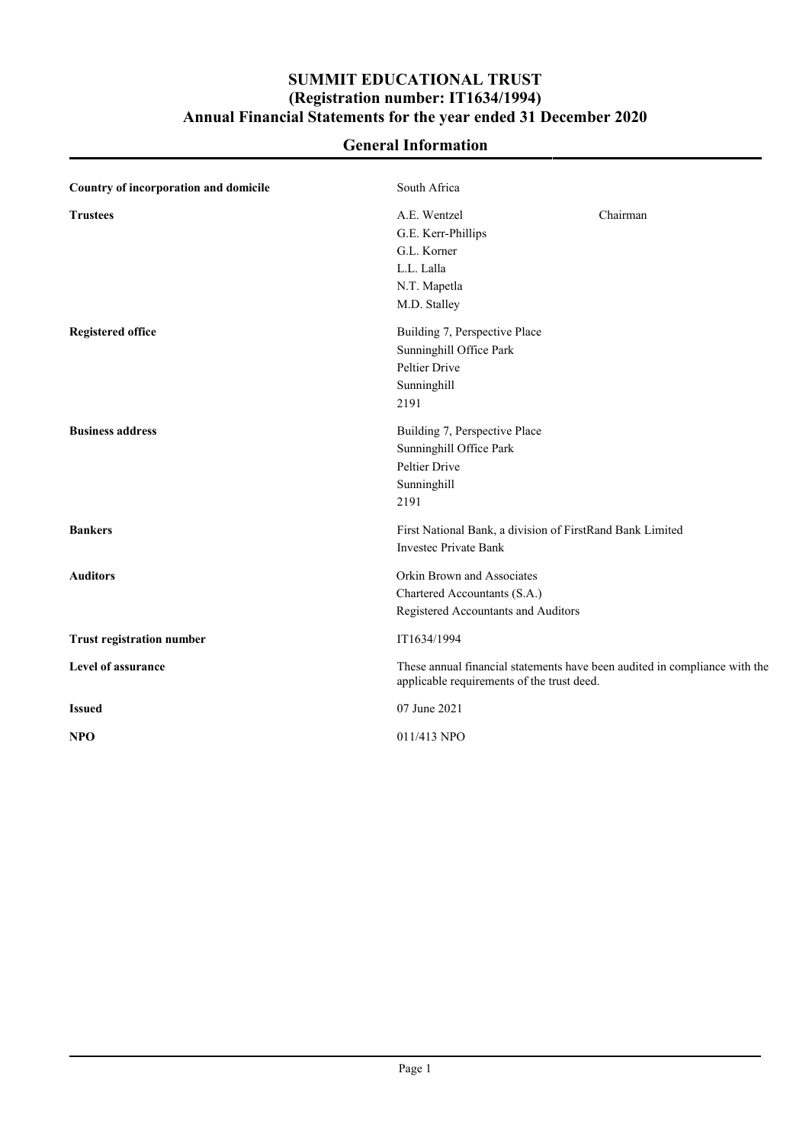# **General Information**

| Country of incorporation and domicile | South Africa                                                                                      |                                                                            |
|---------------------------------------|---------------------------------------------------------------------------------------------------|----------------------------------------------------------------------------|
| <b>Trustees</b>                       | A.E. Wentzel<br>G.E. Kerr-Phillips<br>G.L. Korner<br>L.L. Lalla<br>N.T. Mapetla<br>M.D. Stalley   | Chairman                                                                   |
| <b>Registered office</b>              | Building 7, Perspective Place<br>Sunninghill Office Park<br>Peltier Drive<br>Sunninghill<br>2191  |                                                                            |
| <b>Business address</b>               | Building 7, Perspective Place<br>Sunninghill Office Park<br>Peltier Drive<br>Sunninghill<br>2191  |                                                                            |
| <b>Bankers</b>                        | <b>Investec Private Bank</b>                                                                      | First National Bank, a division of FirstRand Bank Limited                  |
| <b>Auditors</b>                       | Orkin Brown and Associates<br>Chartered Accountants (S.A.)<br>Registered Accountants and Auditors |                                                                            |
| <b>Trust registration number</b>      | IT1634/1994                                                                                       |                                                                            |
| Level of assurance                    | applicable requirements of the trust deed.                                                        | These annual financial statements have been audited in compliance with the |
| <b>Issued</b>                         | 07 June 2021                                                                                      |                                                                            |
| NPO                                   | 011/413 NPO                                                                                       |                                                                            |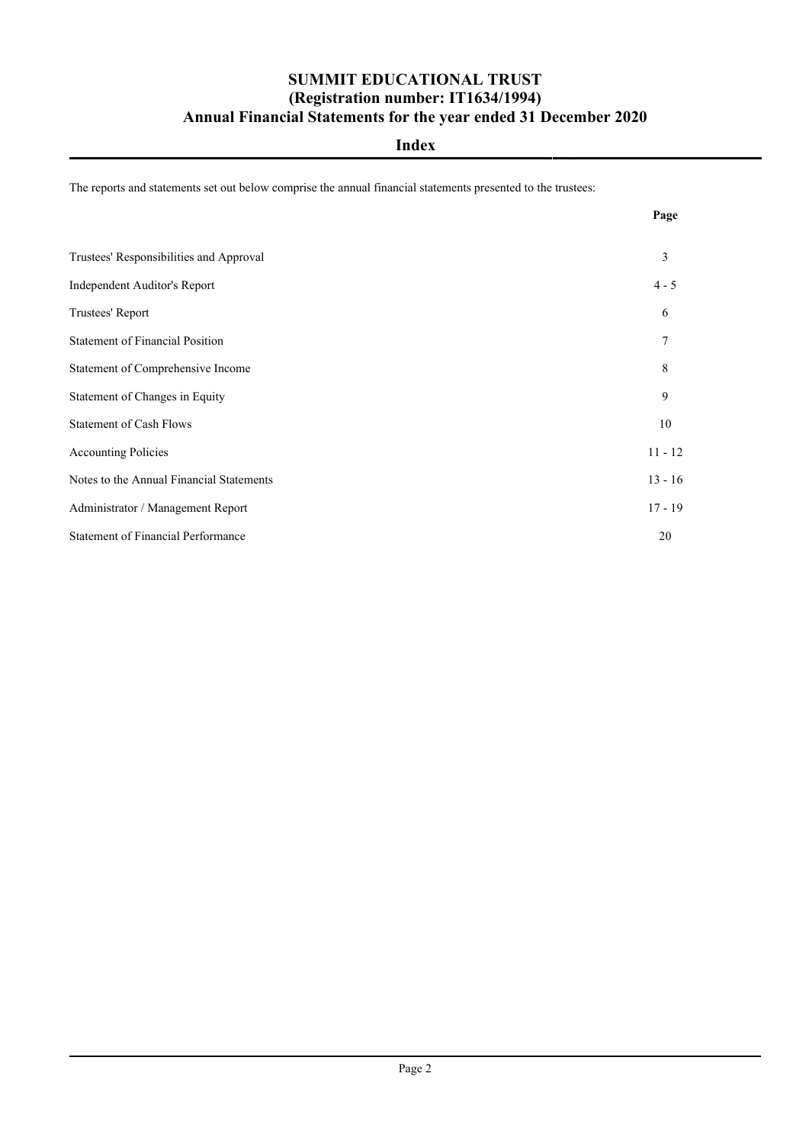## **Index**

The reports and statements set out below comprise the annual financial statements presented to the trustees:

|                                           | Page      |
|-------------------------------------------|-----------|
| Trustees' Responsibilities and Approval   | 3         |
| Independent Auditor's Report              | $4 - 5$   |
| Trustees' Report                          | 6         |
| <b>Statement of Financial Position</b>    | 7         |
| Statement of Comprehensive Income         | 8         |
| Statement of Changes in Equity            | 9         |
| <b>Statement of Cash Flows</b>            | 10        |
| <b>Accounting Policies</b>                | $11 - 12$ |
| Notes to the Annual Financial Statements  | $13 - 16$ |
| Administrator / Management Report         | $17 - 19$ |
| <b>Statement of Financial Performance</b> | 20        |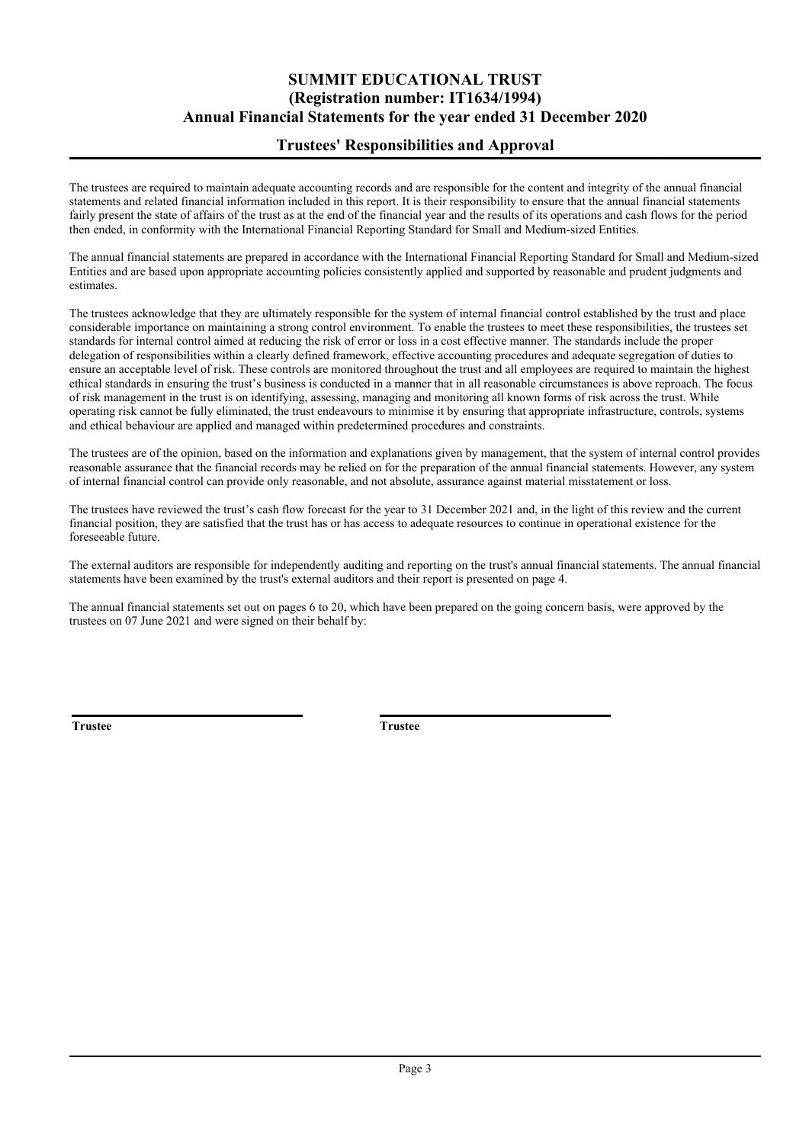### **Trustees' Responsibilities and Approval**

The trustees are required to maintain adequate accounting records and are responsible for the content and integrity of the annual financial statements and related financial information included in this report. It is their responsibility to ensure that the annual financial statements fairly present the state of affairs of the trust as at the end of the financial year and the results of its operations and cash flows for the period then ended, in conformity with the International Financial Reporting Standard for Small and Medium-sized Entities.

The annual financial statements are prepared in accordance with the International Financial Reporting Standard for Small and Medium-sized Entities and are based upon appropriate accounting policies consistently applied and supported by reasonable and prudent judgments and estimates.

The trustees acknowledge that they are ultimately responsible for the system of internal financial control established by the trust and place considerable importance on maintaining a strong control environment. To enable the trustees to meet these responsibilities, the trustees set standards for internal control aimed at reducing the risk of error or loss in a cost effective manner. The standards include the proper delegation of responsibilities within a clearly defined framework, effective accounting procedures and adequate segregation of duties to ensure an acceptable level of risk. These controls are monitored throughout the trust and all employees are required to maintain the highest ethical standards in ensuring the trust's business is conducted in a manner that in all reasonable circumstances is above reproach. The focus of risk management in the trust is on identifying, assessing, managing and monitoring all known forms of risk across the trust. While operating risk cannot be fully eliminated, the trust endeavours to minimise it by ensuring that appropriate infrastructure, controls, systems and ethical behaviour are applied and managed within predetermined procedures and constraints.

The trustees are of the opinion, based on the information and explanations given by management, that the system of internal control provides reasonable assurance that the financial records may be relied on for the preparation of the annual financial statements. However, any system of internal financial control can provide only reasonable, and not absolute, assurance against material misstatement or loss.

The trustees have reviewed the trust's cash flow forecast for the year to 31 December 2021 and, in the light of this review and the current financial position, they are satisfied that the trust has or has access to adequate resources to continue in operational existence for the foreseeable future.

The external auditors are responsible for independently auditing and reporting on the trust's annual financial statements. The annual financial statements have been examined by the trust's external auditors and their report is presented on page 4.

The annual financial statements set out on pages 6 to 20, which have been prepared on the going concern basis, were approved by the trustees on 07 June 2021 and were signed on their behalf by:

**Trustee Trustee**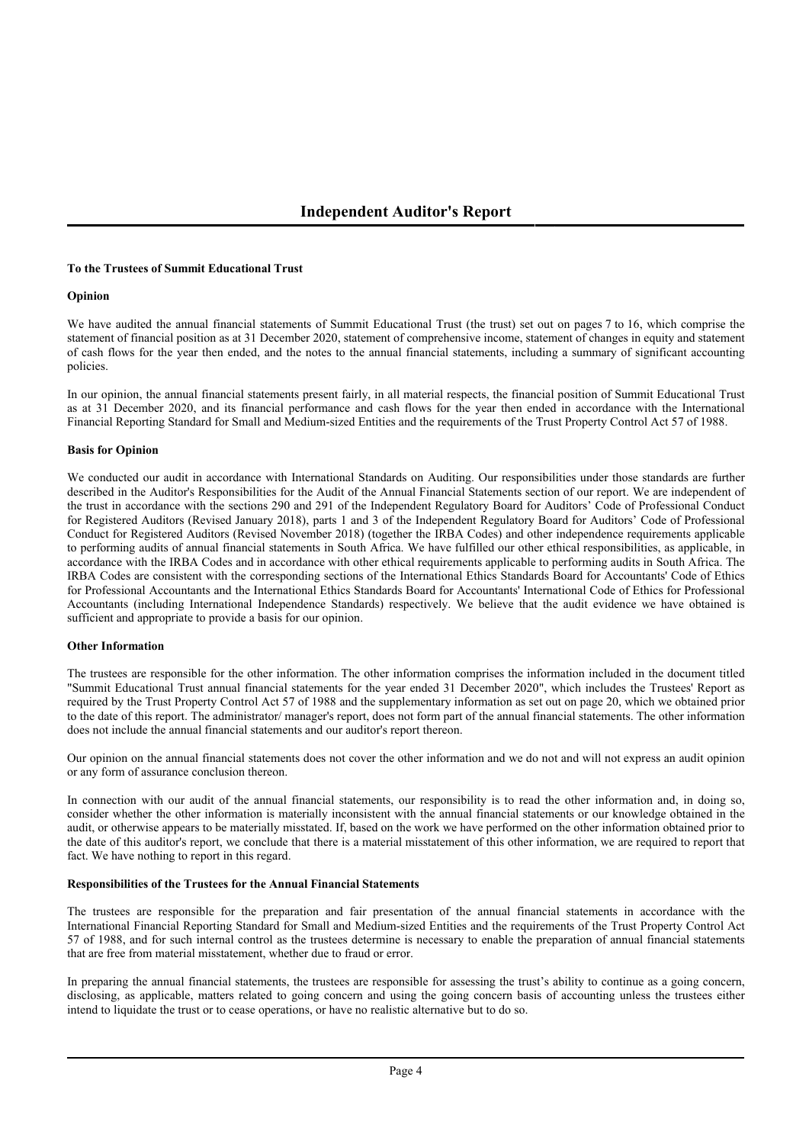#### **To the Trustees of Summit Educational Trust**

#### **Opinion**

We have audited the annual financial statements of Summit Educational Trust (the trust) set out on pages 7 to 16, which comprise the statement of financial position as at 31 December 2020, statement of comprehensive income, statement of changes in equity and statement of cash flows for the year then ended, and the notes to the annual financial statements, including a summary of significant accounting policies.

In our opinion, the annual financial statements present fairly, in all material respects, the financial position of Summit Educational Trust as at 31 December 2020, and its financial performance and cash flows for the year then ended in accordance with the International Financial Reporting Standard for Small and Medium-sized Entities and the requirements of the Trust Property Control Act 57 of 1988.

#### **Basis for Opinion**

We conducted our audit in accordance with International Standards on Auditing. Our responsibilities under those standards are further described in the Auditor's Responsibilities for the Audit of the Annual Financial Statements section of our report. We are independent of the trust in accordance with the sections 290 and 291 of the Independent Regulatory Board for Auditors' Code of Professional Conduct for Registered Auditors (Revised January 2018), parts 1 and 3 of the Independent Regulatory Board for Auditors' Code of Professional Conduct for Registered Auditors (Revised November 2018) (together the IRBA Codes) and other independence requirements applicable to performing audits of annual financial statements in South Africa. We have fulfilled our other ethical responsibilities, as applicable, in accordance with the IRBA Codes and in accordance with other ethical requirements applicable to performing audits in South Africa. The IRBA Codes are consistent with the corresponding sections of the International Ethics Standards Board for Accountants' Code of Ethics for Professional Accountants and the International Ethics Standards Board for Accountants' International Code of Ethics for Professional Accountants (including International Independence Standards) respectively. We believe that the audit evidence we have obtained is sufficient and appropriate to provide a basis for our opinion.

#### **Other Information**

The trustees are responsible for the other information. The other information comprises the information included in the document titled "Summit Educational Trust annual financial statements for the year ended 31 December 2020", which includes the Trustees' Report as required by the Trust Property Control Act 57 of 1988 and the supplementary information as set out on page 20, which we obtained prior to the date of this report. The administrator/ manager's report, does not form part of the annual financial statements. The other information does not include the annual financial statements and our auditor's report thereon.

Our opinion on the annual financial statements does not cover the other information and we do not and will not express an audit opinion or any form of assurance conclusion thereon.

In connection with our audit of the annual financial statements, our responsibility is to read the other information and, in doing so, consider whether the other information is materially inconsistent with the annual financial statements or our knowledge obtained in the audit, or otherwise appears to be materially misstated. If, based on the work we have performed on the other information obtained prior to the date of this auditor's report, we conclude that there is a material misstatement of this other information, we are required to report that fact. We have nothing to report in this regard.

#### **Responsibilities of the Trustees for the Annual Financial Statements**

The trustees are responsible for the preparation and fair presentation of the annual financial statements in accordance with the International Financial Reporting Standard for Small and Medium-sized Entities and the requirements of the Trust Property Control Act 57 of 1988, and for such internal control as the trustees determine is necessary to enable the preparation of annual financial statements that are free from material misstatement, whether due to fraud or error.

In preparing the annual financial statements, the trustees are responsible for assessing the trust's ability to continue as a going concern, disclosing, as applicable, matters related to going concern and using the going concern basis of accounting unless the trustees either intend to liquidate the trust or to cease operations, or have no realistic alternative but to do so.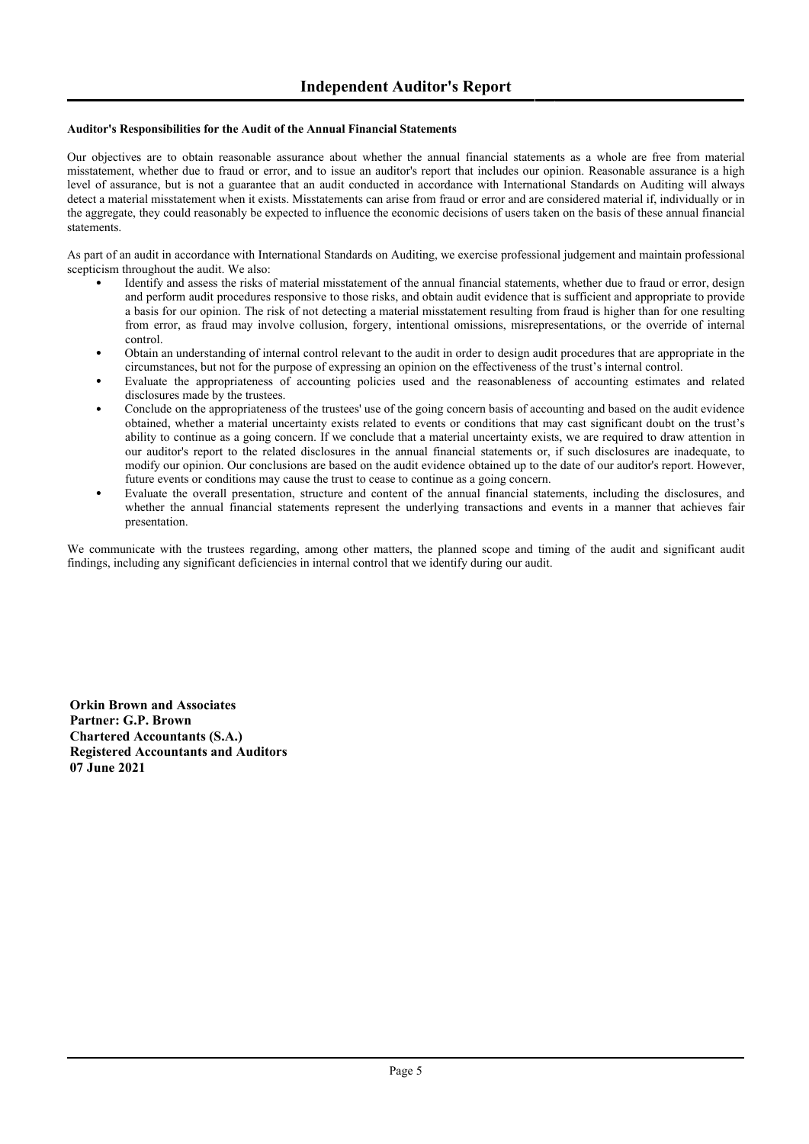### **Auditor's Responsibilities for the Audit of the Annual Financial Statements**

Our objectives are to obtain reasonable assurance about whether the annual financial statements as a whole are free from material misstatement, whether due to fraud or error, and to issue an auditor's report that includes our opinion. Reasonable assurance is a high level of assurance, but is not a guarantee that an audit conducted in accordance with International Standards on Auditing will always detect a material misstatement when it exists. Misstatements can arise from fraud or error and are considered material if, individually or in the aggregate, they could reasonably be expected to influence the economic decisions of users taken on the basis of these annual financial statements.

As part of an audit in accordance with International Standards on Auditing, we exercise professional judgement and maintain professional scepticism throughout the audit. We also:

- Identify and assess the risks of material misstatement of the annual financial statements, whether due to fraud or error, design and perform audit procedures responsive to those risks, and obtain audit evidence that is sufficient and appropriate to provide a basis for our opinion. The risk of not detecting a material misstatement resulting from fraud is higher than for one resulting from error, as fraud may involve collusion, forgery, intentional omissions, misrepresentations, or the override of internal control.
- Obtain an understanding of internal control relevant to the audit in order to design audit procedures that are appropriate in the circumstances, but not for the purpose of expressing an opinion on the effectiveness of the trust's internal control.
- Evaluate the appropriateness of accounting policies used and the reasonableness of accounting estimates and related disclosures made by the trustees.
- Conclude on the appropriateness of the trustees' use of the going concern basis of accounting and based on the audit evidence obtained, whether a material uncertainty exists related to events or conditions that may cast significant doubt on the trust's ability to continue as a going concern. If we conclude that a material uncertainty exists, we are required to draw attention in our auditor's report to the related disclosures in the annual financial statements or, if such disclosures are inadequate, to modify our opinion. Our conclusions are based on the audit evidence obtained up to the date of our auditor's report. However, future events or conditions may cause the trust to cease to continue as a going concern.
- Evaluate the overall presentation, structure and content of the annual financial statements, including the disclosures, and whether the annual financial statements represent the underlying transactions and events in a manner that achieves fair presentation.

We communicate with the trustees regarding, among other matters, the planned scope and timing of the audit and significant audit findings, including any significant deficiencies in internal control that we identify during our audit.

**Orkin Brown and Associates Partner: G.P. Brown Chartered Accountants (S.A.) Registered Accountants and Auditors 07 June 2021**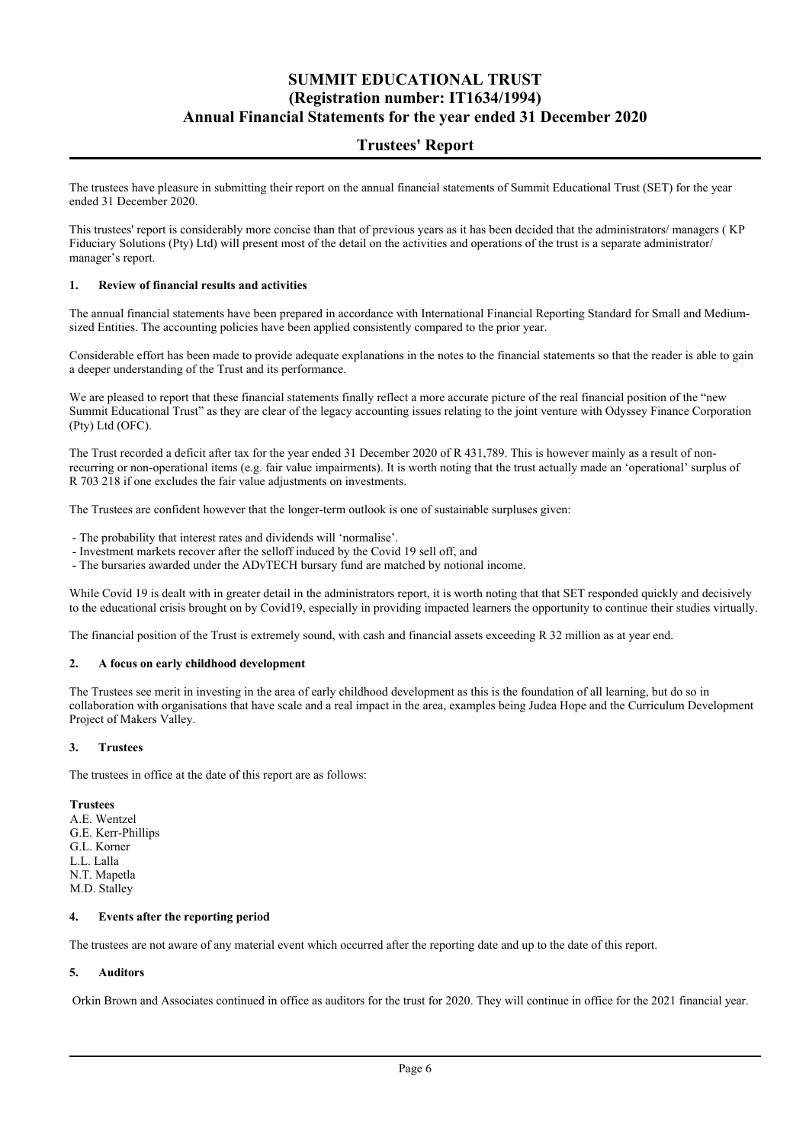### **Trustees' Report**

The trustees have pleasure in submitting their report on the annual financial statements of Summit Educational Trust (SET) for the year ended 31 December 2020.

This trustees' report is considerably more concise than that of previous years as it has been decided that the administrators/ managers ( KP Fiduciary Solutions (Pty) Ltd) will present most of the detail on the activities and operations of the trust is a separate administrator/ manager's report.

### **1. Review of financial results and activities**

The annual financial statements have been prepared in accordance with International Financial Reporting Standard for Small and Mediumsized Entities. The accounting policies have been applied consistently compared to the prior year.

Considerable effort has been made to provide adequate explanations in the notes to the financial statements so that the reader is able to gain a deeper understanding of the Trust and its performance.

We are pleased to report that these financial statements finally reflect a more accurate picture of the real financial position of the "new Summit Educational Trust" as they are clear of the legacy accounting issues relating to the joint venture with Odyssey Finance Corporation (Pty) Ltd (OFC).

The Trust recorded a deficit after tax for the year ended 31 December 2020 of R 431,789. This is however mainly as a result of nonrecurring or non-operational items (e.g. fair value impairments). It is worth noting that the trust actually made an 'operational' surplus of R 703 218 if one excludes the fair value adjustments on investments.

The Trustees are confident however that the longer-term outlook is one of sustainable surpluses given:

- The probability that interest rates and dividends will 'normalise'.

- Investment markets recover after the selloff induced by the Covid 19 sell off, and
- The bursaries awarded under the ADvTECH bursary fund are matched by notional income.

While Covid 19 is dealt with in greater detail in the administrators report, it is worth noting that that SET responded quickly and decisively to the educational crisis brought on by Covid19, especially in providing impacted learners the opportunity to continue their studies virtually.

The financial position of the Trust is extremely sound, with cash and financial assets exceeding R 32 million as at year end.

### **2. A focus on early childhood development**

The Trustees see merit in investing in the area of early childhood development as this is the foundation of all learning, but do so in collaboration with organisations that have scale and a real impact in the area, examples being Judea Hope and the Curriculum Development Project of Makers Valley.

### **3. Trustees**

The trustees in office at the date of this report are as follows:

#### **Trustees**

- A.E. Wentzel G.E. Kerr-Phillips G.L. Korner L.L. Lalla N.T. Mapetla
- M.D. Stalley

#### **4. Events after the reporting period**

The trustees are not aware of any material event which occurred after the reporting date and up to the date of this report.

#### **5. Auditors**

Orkin Brown and Associates continued in office as auditors for the trust for 2020. They will continue in office for the 2021 financial year.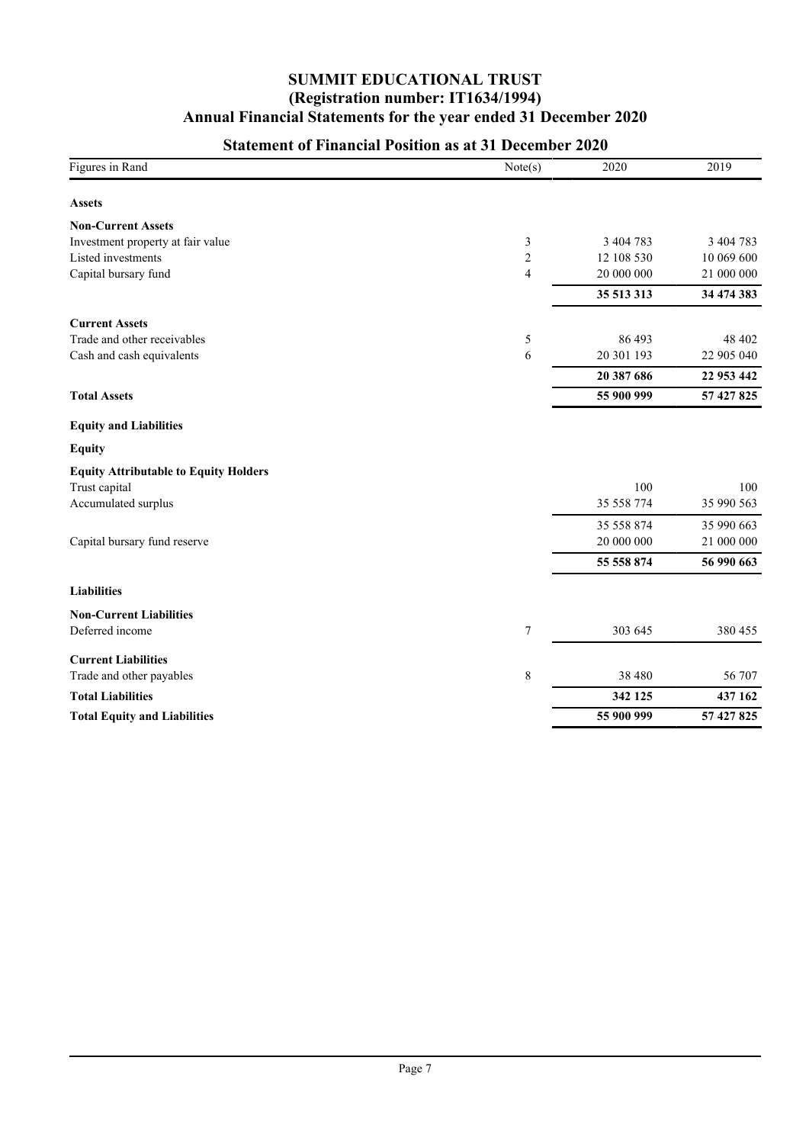# **Statement of Financial Position as at 31 December 2020**

| Figures in Rand                              | Note(s)          | 2020       | 2019       |
|----------------------------------------------|------------------|------------|------------|
| <b>Assets</b>                                |                  |            |            |
| <b>Non-Current Assets</b>                    |                  |            |            |
| Investment property at fair value            | 3                | 3 404 783  | 3 404 783  |
| Listed investments                           | $\sqrt{2}$       | 12 108 530 | 10 069 600 |
| Capital bursary fund                         | $\overline{4}$   | 20 000 000 | 21 000 000 |
|                                              |                  | 35 513 313 | 34 474 383 |
| <b>Current Assets</b>                        |                  |            |            |
| Trade and other receivables                  | 5                | 86 493     | 48 402     |
| Cash and cash equivalents                    | 6                | 20 301 193 | 22 905 040 |
|                                              |                  | 20 387 686 | 22 953 442 |
| <b>Total Assets</b>                          |                  | 55 900 999 | 57 427 825 |
| <b>Equity and Liabilities</b>                |                  |            |            |
| <b>Equity</b>                                |                  |            |            |
| <b>Equity Attributable to Equity Holders</b> |                  |            |            |
| Trust capital                                |                  | 100        | 100        |
| Accumulated surplus                          |                  | 35 558 774 | 35 990 563 |
|                                              |                  | 35 558 874 | 35 990 663 |
| Capital bursary fund reserve                 |                  | 20 000 000 | 21 000 000 |
|                                              |                  | 55 558 874 | 56 990 663 |
| <b>Liabilities</b>                           |                  |            |            |
| <b>Non-Current Liabilities</b>               |                  |            |            |
| Deferred income                              | $\boldsymbol{7}$ | 303 645    | 380 455    |
| <b>Current Liabilities</b>                   |                  |            |            |
| Trade and other payables                     | $\,$ $\,$        | 38 4 8 0   | 56 707     |
| <b>Total Liabilities</b>                     |                  | 342 125    | 437 162    |
| <b>Total Equity and Liabilities</b>          |                  | 55 900 999 | 57 427 825 |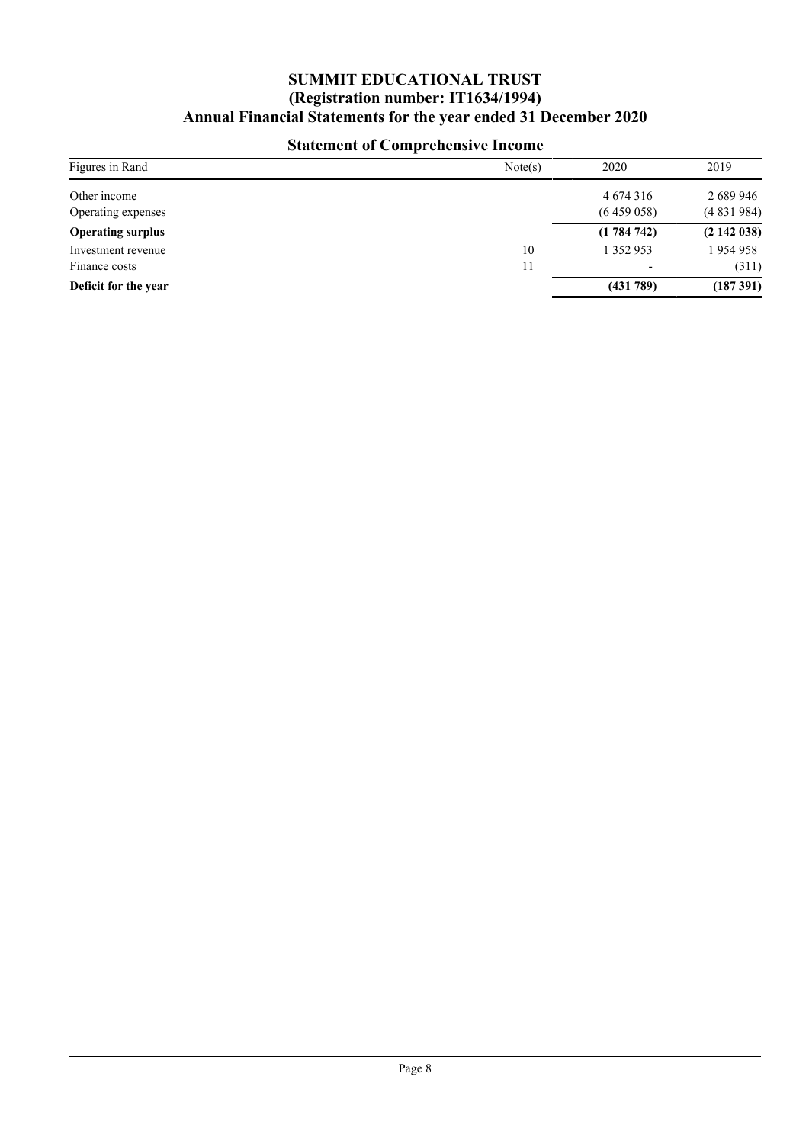# **Statement of Comprehensive Income**

| Figures in Rand          | Note(s) | 2020        | 2019      |
|--------------------------|---------|-------------|-----------|
| Other income             |         | 4 6 74 3 16 | 2 689 946 |
| Operating expenses       |         | (6459058)   | (4831984) |
| <b>Operating surplus</b> |         | (1784742)   | (2142038) |
| Investment revenue       | 10      | 1 352 953   | 1954958   |
| Finance costs            | 11      |             | (311)     |
| Deficit for the year     |         | (431 789)   | (187391)  |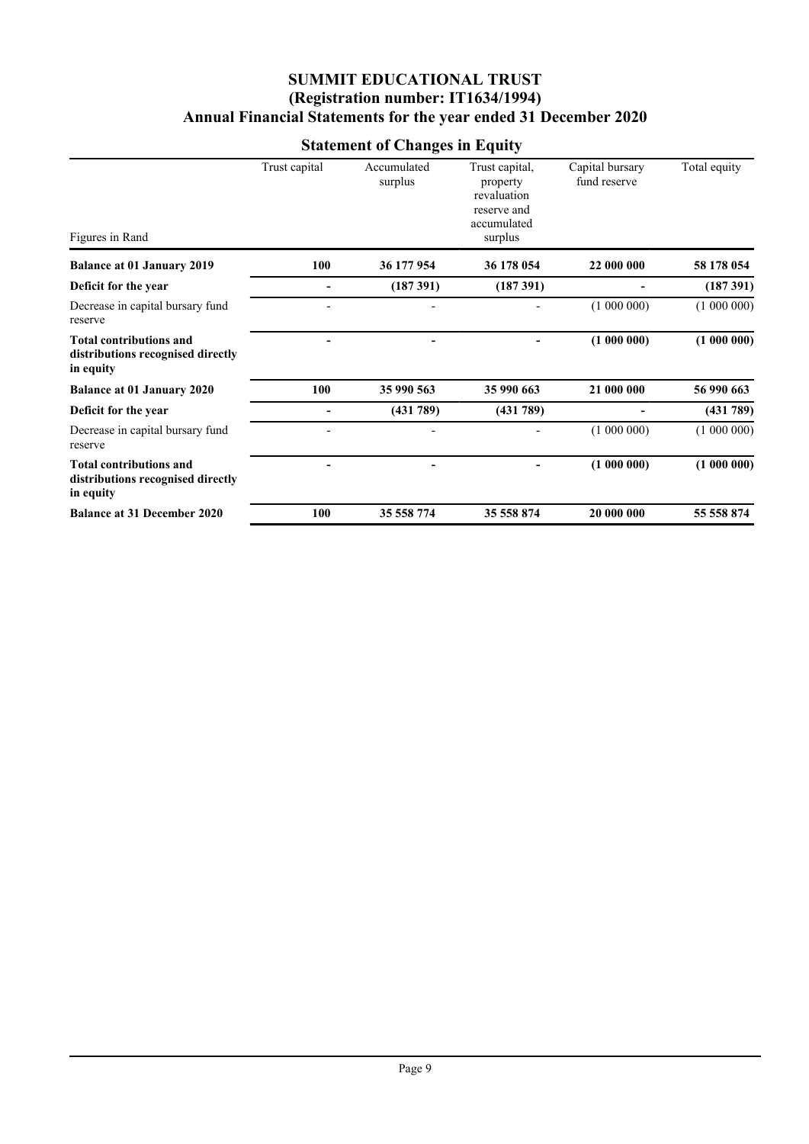#### Figures in Rand Trust capital Accumulated surplus Trust capital, property revaluation reserve and accumulated surplus Capital bursary fund reserve Total equity **Balance at 01 January 2019 100 36 177 954 36 178 054 22 000 000 58 178 054 Deficit for the year - (187 391) (187 391) - (187 391)** Decrease in capital bursary fund reserve  $-$  (1 000 000) (1 000 000) **Total contributions and distributions recognised directly in equity - - - (1 000 000) (1 000 000) Balance at 01 January 2020 100 35 990 563 35 990 663 21 000 000 56 990 663 Deficit for the year - (431 789) (431 789) - (431 789)** Decrease in capital bursary fund reserve  $(1\ 000\ 000)$   $(1\ 000\ 000)$ **Total contributions and distributions recognised directly in equity - - - (1 000 000) (1 000 000) Balance at 31 December 2020 100 35 558 774 35 558 874 20 000 000 55 558 874**

### **Statement of Changes in Equity**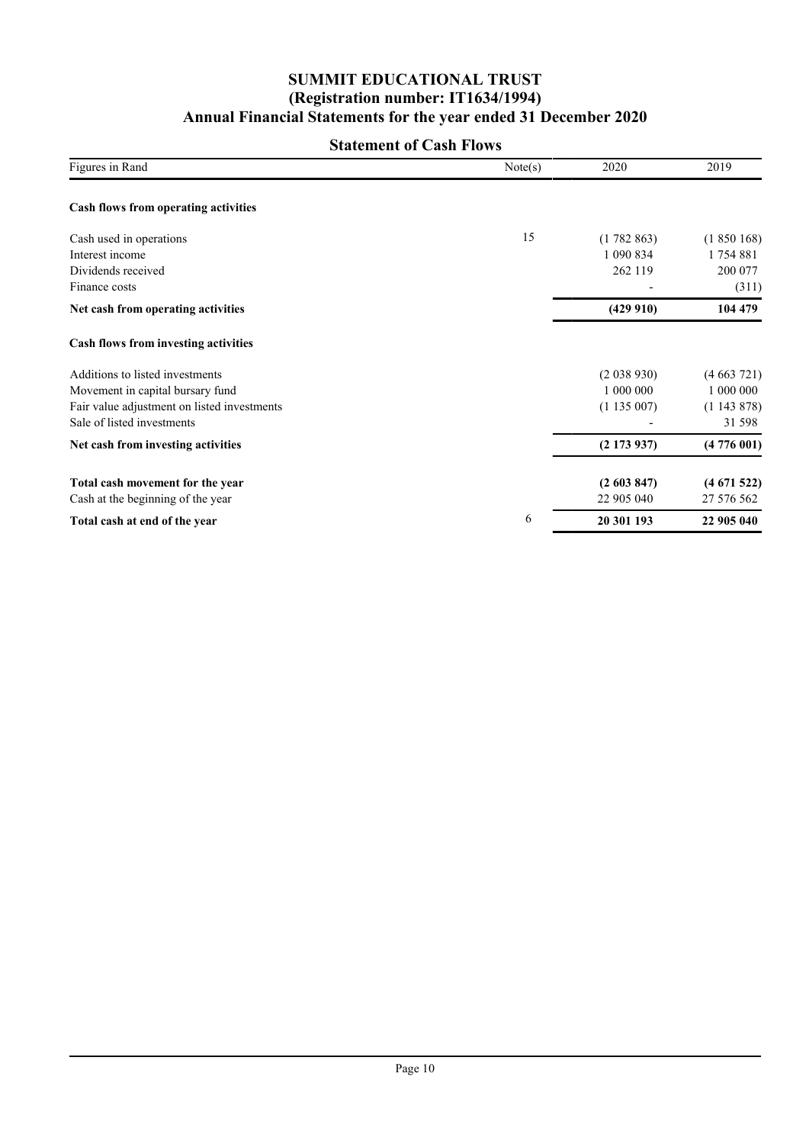## **Statement of Cash Flows**

| Figures in Rand                             | Note(s) | 2020        | 2019       |
|---------------------------------------------|---------|-------------|------------|
|                                             |         |             |            |
| Cash flows from operating activities        |         |             |            |
| Cash used in operations                     | 15      | (1782863)   | (1850168)  |
| Interest income                             |         | 1 090 834   | 1754881    |
| Dividends received                          |         | 262 119     | 200 077    |
| Finance costs                               |         |             | (311)      |
| Net cash from operating activities          |         | (429 910)   | 104 479    |
| Cash flows from investing activities        |         |             |            |
| Additions to listed investments             |         | (2 038 930) | (4663721)  |
| Movement in capital bursary fund            |         | 1 000 000   | 1 000 000  |
| Fair value adjustment on listed investments |         | (1135007)   | (1143878)  |
| Sale of listed investments                  |         |             | 31 598     |
| Net cash from investing activities          |         | (2173937)   | (4776001)  |
| Total cash movement for the year            |         | (2603847)   | (4671522)  |
| Cash at the beginning of the year           |         | 22 905 040  | 27 576 562 |
| Total cash at end of the year               | 6       | 20 301 193  | 22 905 040 |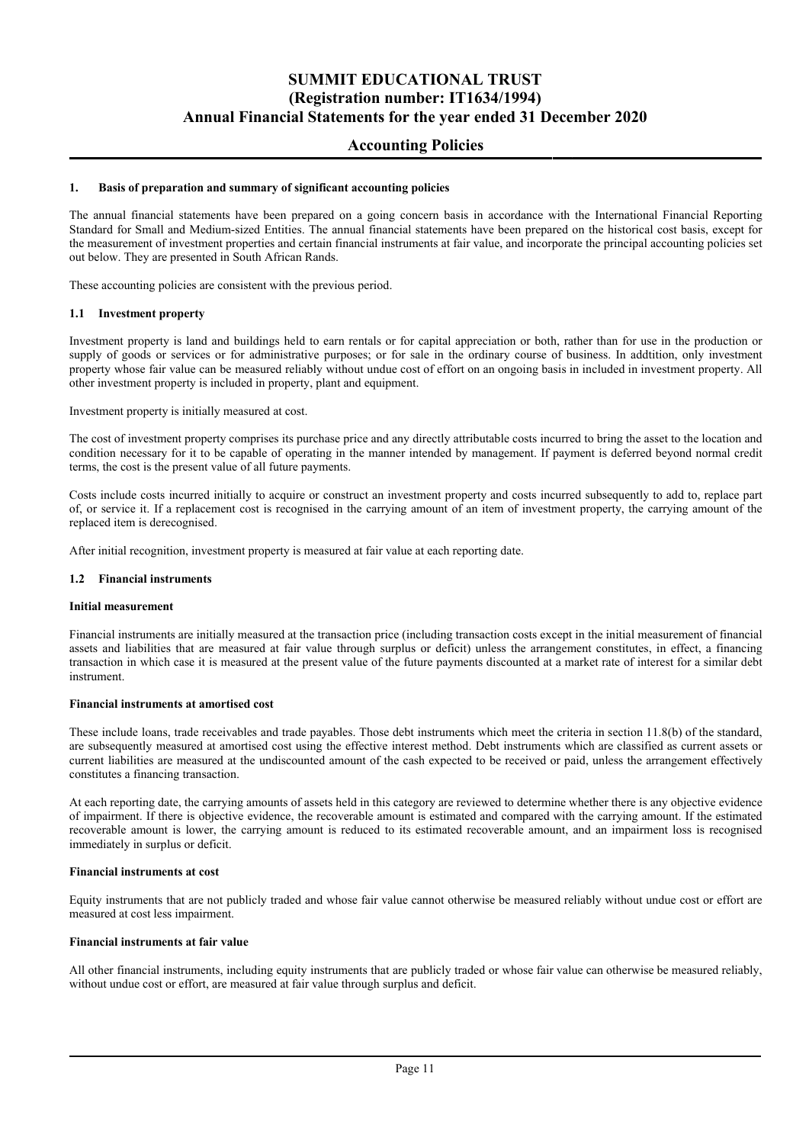### **Accounting Policies**

#### **1. Basis of preparation and summary of significant accounting policies**

The annual financial statements have been prepared on a going concern basis in accordance with the International Financial Reporting Standard for Small and Medium-sized Entities. The annual financial statements have been prepared on the historical cost basis, except for the measurement of investment properties and certain financial instruments at fair value, and incorporate the principal accounting policies set out below. They are presented in South African Rands.

These accounting policies are consistent with the previous period.

#### **1.1 Investment property**

Investment property is land and buildings held to earn rentals or for capital appreciation or both, rather than for use in the production or supply of goods or services or for administrative purposes; or for sale in the ordinary course of business. In addtition, only investment property whose fair value can be measured reliably without undue cost of effort on an ongoing basis in included in investment property. All other investment property is included in property, plant and equipment.

Investment property is initially measured at cost.

The cost of investment property comprises its purchase price and any directly attributable costs incurred to bring the asset to the location and condition necessary for it to be capable of operating in the manner intended by management. If payment is deferred beyond normal credit terms, the cost is the present value of all future payments.

Costs include costs incurred initially to acquire or construct an investment property and costs incurred subsequently to add to, replace part of, or service it. If a replacement cost is recognised in the carrying amount of an item of investment property, the carrying amount of the replaced item is derecognised.

After initial recognition, investment property is measured at fair value at each reporting date.

#### **1.2 Financial instruments**

#### **Initial measurement**

Financial instruments are initially measured at the transaction price (including transaction costs except in the initial measurement of financial assets and liabilities that are measured at fair value through surplus or deficit) unless the arrangement constitutes, in effect, a financing transaction in which case it is measured at the present value of the future payments discounted at a market rate of interest for a similar debt instrument.

#### **Financial instruments at amortised cost**

These include loans, trade receivables and trade payables. Those debt instruments which meet the criteria in section 11.8(b) of the standard, are subsequently measured at amortised cost using the effective interest method. Debt instruments which are classified as current assets or current liabilities are measured at the undiscounted amount of the cash expected to be received or paid, unless the arrangement effectively constitutes a financing transaction.

At each reporting date, the carrying amounts of assets held in this category are reviewed to determine whether there is any objective evidence of impairment. If there is objective evidence, the recoverable amount is estimated and compared with the carrying amount. If the estimated recoverable amount is lower, the carrying amount is reduced to its estimated recoverable amount, and an impairment loss is recognised immediately in surplus or deficit.

#### **Financial instruments at cost**

Equity instruments that are not publicly traded and whose fair value cannot otherwise be measured reliably without undue cost or effort are measured at cost less impairment.

### **Financial instruments at fair value**

All other financial instruments, including equity instruments that are publicly traded or whose fair value can otherwise be measured reliably, without undue cost or effort, are measured at fair value through surplus and deficit.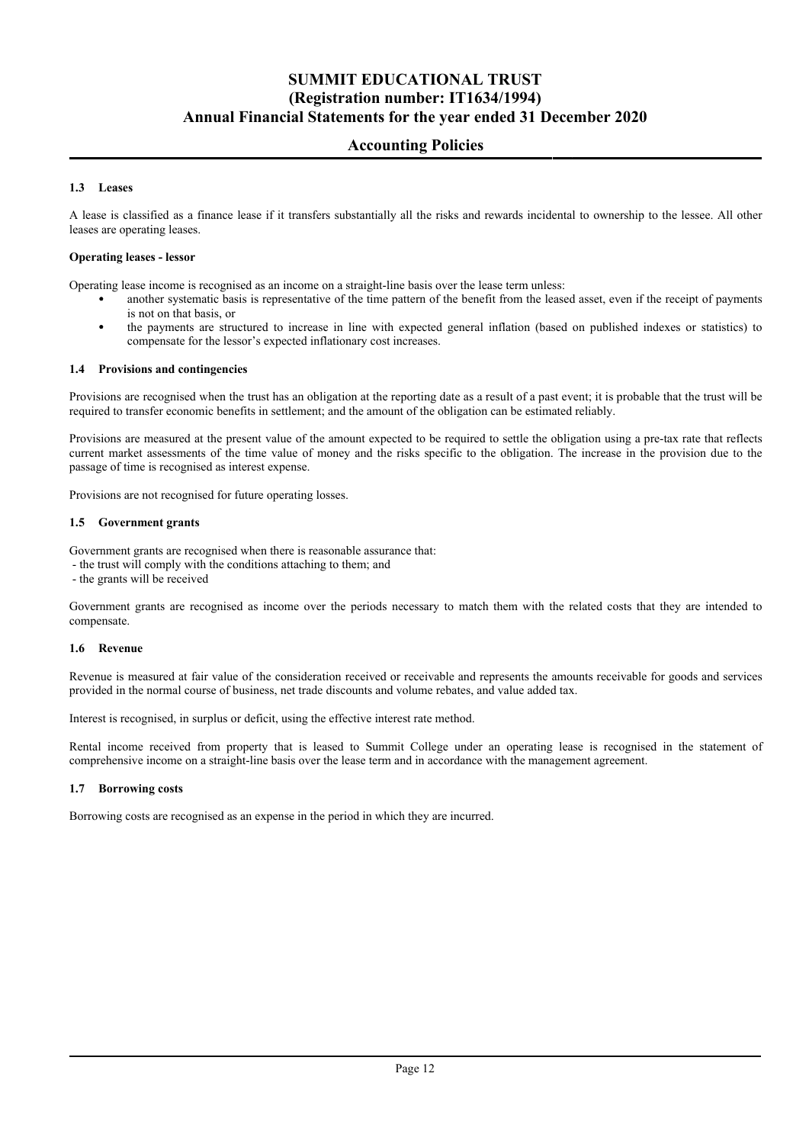### **Accounting Policies**

### **1.3 Leases**

A lease is classified as a finance lease if it transfers substantially all the risks and rewards incidental to ownership to the lessee. All other leases are operating leases.

#### **Operating leases - lessor**

Operating lease income is recognised as an income on a straight-line basis over the lease term unless:

- another systematic basis is representative of the time pattern of the benefit from the leased asset, even if the receipt of payments is not on that basis, or
- the payments are structured to increase in line with expected general inflation (based on published indexes or statistics) to compensate for the lessor's expected inflationary cost increases.

#### **1.4 Provisions and contingencies**

Provisions are recognised when the trust has an obligation at the reporting date as a result of a past event; it is probable that the trust will be required to transfer economic benefits in settlement; and the amount of the obligation can be estimated reliably.

Provisions are measured at the present value of the amount expected to be required to settle the obligation using a pre-tax rate that reflects current market assessments of the time value of money and the risks specific to the obligation. The increase in the provision due to the passage of time is recognised as interest expense.

Provisions are not recognised for future operating losses.

#### **1.5 Government grants**

Government grants are recognised when there is reasonable assurance that:

- the trust will comply with the conditions attaching to them; and
- the grants will be received

Government grants are recognised as income over the periods necessary to match them with the related costs that they are intended to compensate.

#### **1.6 Revenue**

Revenue is measured at fair value of the consideration received or receivable and represents the amounts receivable for goods and services provided in the normal course of business, net trade discounts and volume rebates, and value added tax.

Interest is recognised, in surplus or deficit, using the effective interest rate method.

Rental income received from property that is leased to Summit College under an operating lease is recognised in the statement of comprehensive income on a straight-line basis over the lease term and in accordance with the management agreement.

#### **1.7 Borrowing costs**

Borrowing costs are recognised as an expense in the period in which they are incurred.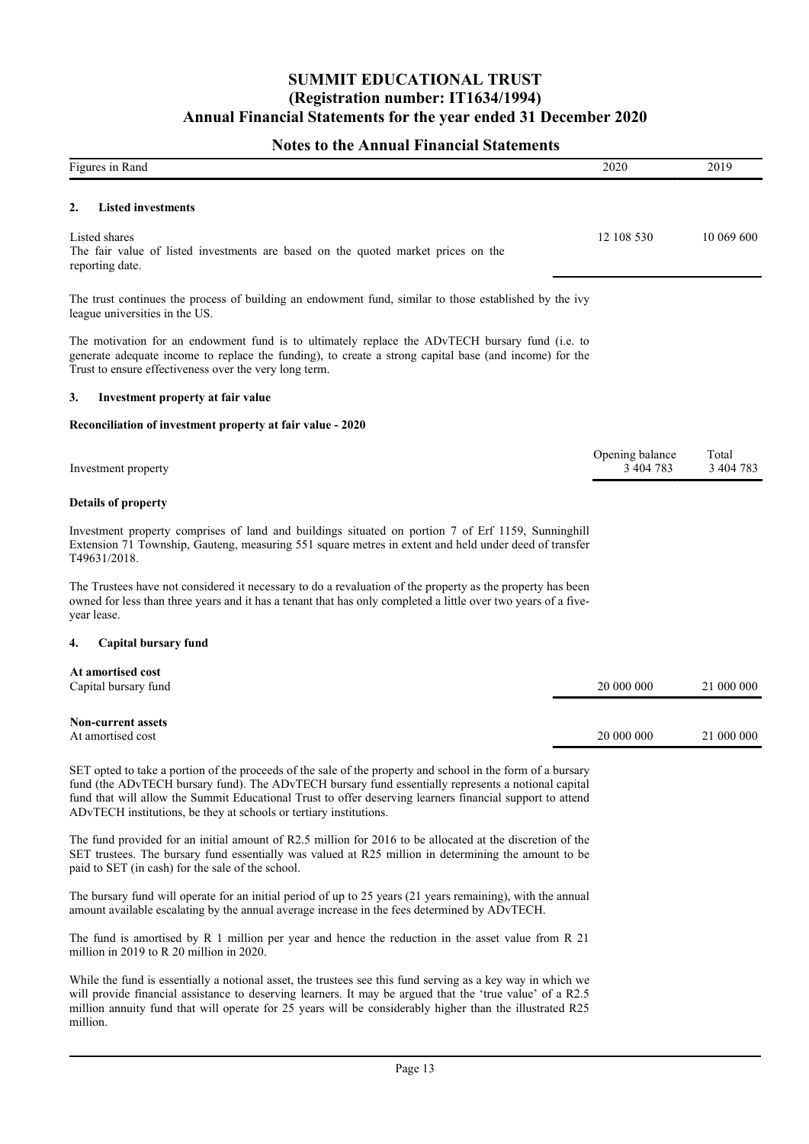# **Notes to the Annual Financial Statements**

| võits to the Annual Financial Statements                                                                                                                                                                                                                                                                                                                                                              |                              |                    |
|-------------------------------------------------------------------------------------------------------------------------------------------------------------------------------------------------------------------------------------------------------------------------------------------------------------------------------------------------------------------------------------------------------|------------------------------|--------------------|
| Figures in Rand                                                                                                                                                                                                                                                                                                                                                                                       | 2020                         | 2019               |
| 2.<br><b>Listed investments</b>                                                                                                                                                                                                                                                                                                                                                                       |                              |                    |
|                                                                                                                                                                                                                                                                                                                                                                                                       |                              |                    |
| Listed shares<br>The fair value of listed investments are based on the quoted market prices on the<br>reporting date.                                                                                                                                                                                                                                                                                 | 12 108 530                   | 10 069 600         |
| The trust continues the process of building an endowment fund, similar to those established by the ivy<br>league universities in the US.                                                                                                                                                                                                                                                              |                              |                    |
| The motivation for an endowment fund is to ultimately replace the ADvTECH bursary fund (i.e. to<br>generate adequate income to replace the funding), to create a strong capital base (and income) for the<br>Trust to ensure effectiveness over the very long term.                                                                                                                                   |                              |                    |
| 3.<br>Investment property at fair value                                                                                                                                                                                                                                                                                                                                                               |                              |                    |
| Reconciliation of investment property at fair value - 2020                                                                                                                                                                                                                                                                                                                                            |                              |                    |
| Investment property                                                                                                                                                                                                                                                                                                                                                                                   | Opening balance<br>3 404 783 | Total<br>3 404 783 |
| <b>Details of property</b>                                                                                                                                                                                                                                                                                                                                                                            |                              |                    |
| Investment property comprises of land and buildings situated on portion 7 of Erf 1159, Sunninghill<br>Extension 71 Township, Gauteng, measuring 551 square metres in extent and held under deed of transfer<br>T49631/2018.                                                                                                                                                                           |                              |                    |
| The Trustees have not considered it necessary to do a revaluation of the property as the property has been<br>owned for less than three years and it has a tenant that has only completed a little over two years of a five-<br>year lease.                                                                                                                                                           |                              |                    |
| Capital bursary fund<br>4.                                                                                                                                                                                                                                                                                                                                                                            |                              |                    |
| At amortised cost<br>Capital bursary fund                                                                                                                                                                                                                                                                                                                                                             | 20 000 000                   | 21 000 000         |
| <b>Non-current assets</b>                                                                                                                                                                                                                                                                                                                                                                             |                              |                    |
| At amortised cost                                                                                                                                                                                                                                                                                                                                                                                     | 20 000 000                   | 21 000 000         |
| SET opted to take a portion of the proceeds of the sale of the property and school in the form of a bursary<br>fund (the ADvTECH bursary fund). The ADvTECH bursary fund essentially represents a notional capital<br>fund that will allow the Summit Educational Trust to offer deserving learners financial support to attend<br>ADvTECH institutions, be they at schools or tertiary institutions. |                              |                    |
| The fund provided for an initial amount of R2.5 million for 2016 to be allocated at the discretion of the<br>SET trustees. The bursary fund essentially was valued at R25 million in determining the amount to be                                                                                                                                                                                     |                              |                    |

The bursary fund will operate for an initial period of up to 25 years (21 years remaining), with the annual amount available escalating by the annual average increase in the fees determined by ADvTECH.

paid to SET (in cash) for the sale of the school.

The fund is amortised by R 1 million per year and hence the reduction in the asset value from R 21 million in 2019 to R 20 million in 2020.

While the fund is essentially a notional asset, the trustees see this fund serving as a key way in which we will provide financial assistance to deserving learners. It may be argued that the 'true value' of a R2.5 million annuity fund that will operate for 25 years will be considerably higher than the illustrated R25 million.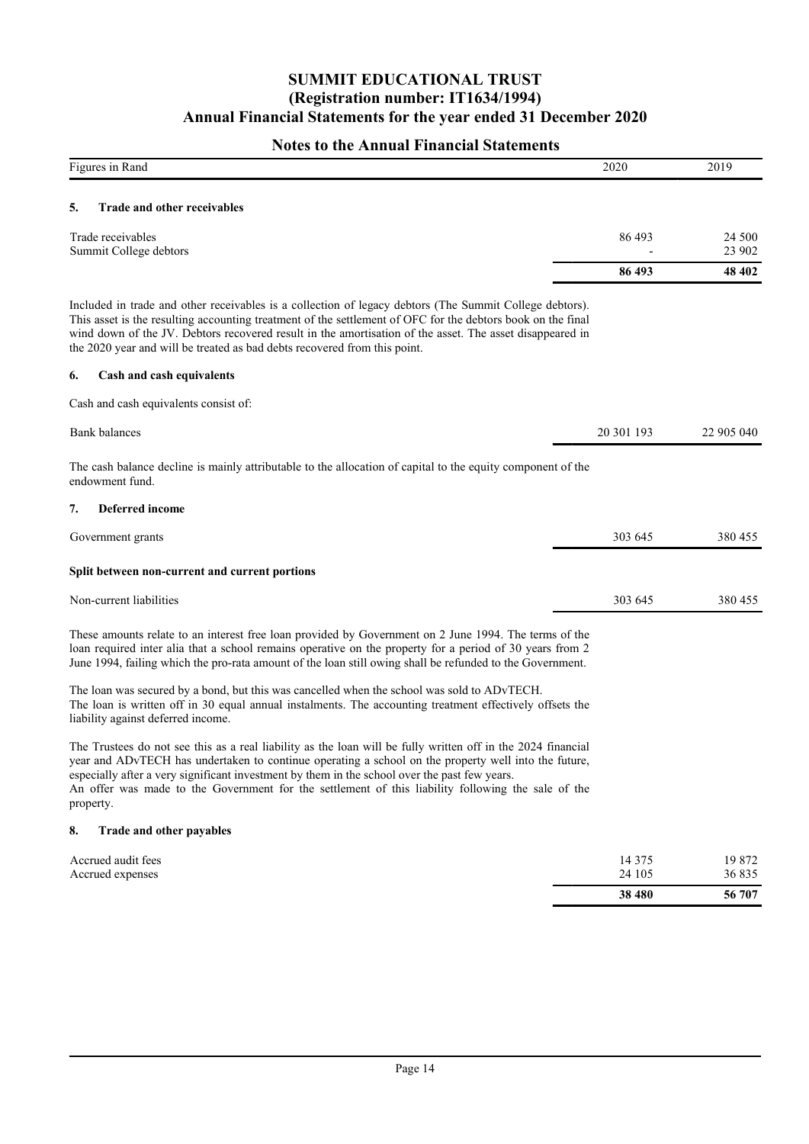## **Notes to the Annual Financial Statements**

| Figures in Rand                                                                                                                                                                                                                                                                                                                                                                                                                          | 2020       | 2019             |
|------------------------------------------------------------------------------------------------------------------------------------------------------------------------------------------------------------------------------------------------------------------------------------------------------------------------------------------------------------------------------------------------------------------------------------------|------------|------------------|
| 5.<br>Trade and other receivables                                                                                                                                                                                                                                                                                                                                                                                                        |            |                  |
| Trade receivables<br>Summit College debtors                                                                                                                                                                                                                                                                                                                                                                                              | 86 493     | 24 500<br>23 902 |
|                                                                                                                                                                                                                                                                                                                                                                                                                                          | 86 493     | 48 402           |
| Included in trade and other receivables is a collection of legacy debtors (The Summit College debtors).<br>This asset is the resulting accounting treatment of the settlement of OFC for the debtors book on the final<br>wind down of the JV. Debtors recovered result in the amortisation of the asset. The asset disappeared in<br>the 2020 year and will be treated as bad debts recovered from this point.                          |            |                  |
| Cash and cash equivalents<br>6.                                                                                                                                                                                                                                                                                                                                                                                                          |            |                  |
| Cash and cash equivalents consist of:                                                                                                                                                                                                                                                                                                                                                                                                    |            |                  |
| <b>Bank</b> balances                                                                                                                                                                                                                                                                                                                                                                                                                     | 20 301 193 | 22 905 040       |
| The cash balance decline is mainly attributable to the allocation of capital to the equity component of the<br>endowment fund.                                                                                                                                                                                                                                                                                                           |            |                  |
| 7.<br>Deferred income                                                                                                                                                                                                                                                                                                                                                                                                                    |            |                  |
| Government grants                                                                                                                                                                                                                                                                                                                                                                                                                        | 303 645    | 380 455          |
| Split between non-current and current portions                                                                                                                                                                                                                                                                                                                                                                                           |            |                  |
| Non-current liabilities                                                                                                                                                                                                                                                                                                                                                                                                                  | 303 645    | 380455           |
| These amounts relate to an interest free loan provided by Government on 2 June 1994. The terms of the<br>loan required inter alia that a school remains operative on the property for a period of 30 years from 2<br>June 1994, failing which the pro-rata amount of the loan still owing shall be refunded to the Government.                                                                                                           |            |                  |
| The loan was secured by a bond, but this was cancelled when the school was sold to ADvTECH.<br>The loan is written off in 30 equal annual instalments. The accounting treatment effectively offsets the<br>liability against deferred income.                                                                                                                                                                                            |            |                  |
| The Trustees do not see this as a real liability as the loan will be fully written off in the 2024 financial<br>year and ADvTECH has undertaken to continue operating a school on the property well into the future,<br>especially after a very significant investment by them in the school over the past few years.<br>An offer was made to the Government for the settlement of this liability following the sale of the<br>property. |            |                  |
| 8.<br><b>Trade and other payables</b>                                                                                                                                                                                                                                                                                                                                                                                                    |            |                  |

| Accrued audit fees | 14 375           | 19 872<br>36 835 |
|--------------------|------------------|------------------|
| Accrued expenses   | 24 105<br>38 480 | 56 707           |
|                    |                  |                  |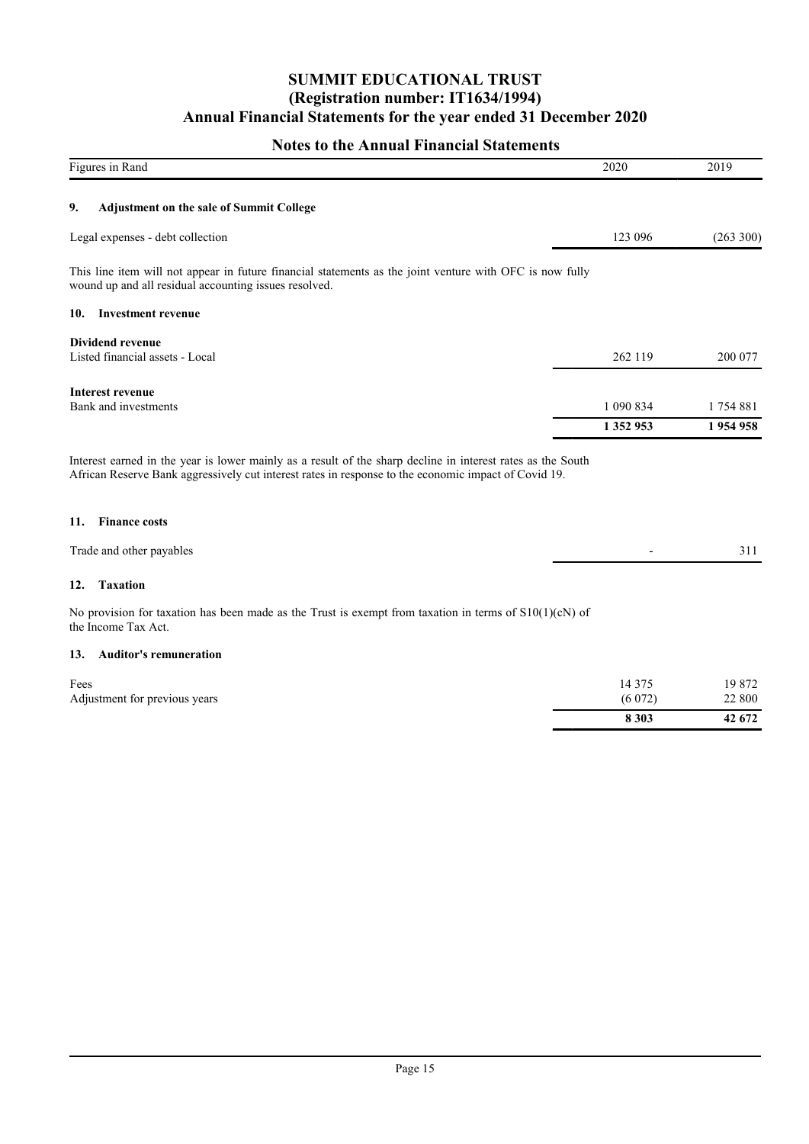### **Notes to the Annual Financial Statements**

| Figures in Rand                                                                                                                                                   | 2020      | 2019      |
|-------------------------------------------------------------------------------------------------------------------------------------------------------------------|-----------|-----------|
| 9.<br><b>Adjustment on the sale of Summit College</b>                                                                                                             |           |           |
| Legal expenses - debt collection                                                                                                                                  | 123 096   | (263 300) |
| This line item will not appear in future financial statements as the joint venture with OFC is now fully<br>wound up and all residual accounting issues resolved. |           |           |
| 10.<br><b>Investment revenue</b>                                                                                                                                  |           |           |
| Dividend revenue<br>Listed financial assets - Local                                                                                                               | 262 119   | 200 077   |
| Interest revenue<br>Bank and investments                                                                                                                          | 1 090 834 | 1754881   |
|                                                                                                                                                                   | 1 352 953 | 1954958   |

Interest earned in the year is lower mainly as a result of the sharp decline in interest rates as the South African Reserve Bank aggressively cut interest rates in response to the economic impact of Covid 19.

#### **11. Finance costs**

| Trade and other payables |  |
|--------------------------|--|
|                          |  |

### **12. Taxation**

No provision for taxation has been made as the Trust is exempt from taxation in terms of S10(1)(cN) of the Income Tax Act.

#### **13. Auditor's remuneration**

| Fees                          | 14 375  | 19 872 |
|-------------------------------|---------|--------|
| Adjustment for previous years | (6072)  | 22 800 |
|                               | 8 3 0 3 | 42 672 |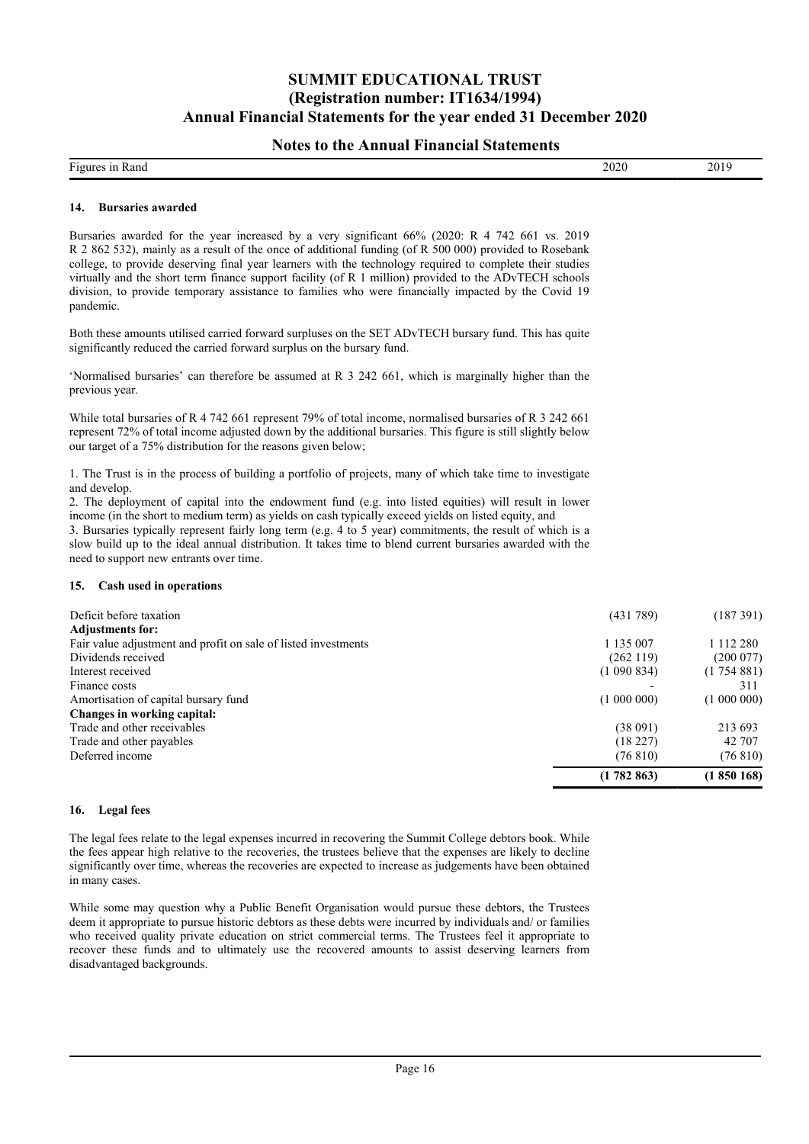### **Notes to the Annual Financial Statements**

Figures in Rand 2020 2019

### **14. Bursaries awarded**

Bursaries awarded for the year increased by a very significant 66% (2020: R 4 742 661 vs. 2019 R 2 862 532), mainly as a result of the once of additional funding (of R 500 000) provided to Rosebank college, to provide deserving final year learners with the technology required to complete their studies virtually and the short term finance support facility (of R 1 million) provided to the ADvTECH schools division, to provide temporary assistance to families who were financially impacted by the Covid 19 pandemic.

Both these amounts utilised carried forward surpluses on the SET ADvTECH bursary fund. This has quite significantly reduced the carried forward surplus on the bursary fund.

'Normalised bursaries' can therefore be assumed at R 3 242 661, which is marginally higher than the previous year.

While total bursaries of R 4 742 661 represent 79% of total income, normalised bursaries of R 3 242 661 represent 72% of total income adjusted down by the additional bursaries. This figure is still slightly below our target of a 75% distribution for the reasons given below;

1. The Trust is in the process of building a portfolio of projects, many of which take time to investigate and develop.

2. The deployment of capital into the endowment fund (e.g. into listed equities) will result in lower income (in the short to medium term) as yields on cash typically exceed yields on listed equity, and 3. Bursaries typically represent fairly long term (e.g. 4 to 5 year) commitments, the result of which is a slow build up to the ideal annual distribution. It takes time to blend current bursaries awarded with the

#### **15. Cash used in operations**

need to support new entrants over time.

|                                                                | (1782863)     | (1850168)     |
|----------------------------------------------------------------|---------------|---------------|
| Deferred income                                                | (76810)       | (76810)       |
| Trade and other payables                                       | (18227)       | 42 707        |
| Trade and other receivables                                    | (38091)       | 213 693       |
| Changes in working capital:                                    |               |               |
| Amortisation of capital bursary fund                           | (1 000 000)   | (1 000 000)   |
| Finance costs                                                  |               | 311           |
| Interest received                                              | (1 090 834)   | (1754881)     |
| Dividends received                                             | (262119)      | (200077)      |
| Fair value adjustment and profit on sale of listed investments | 1 1 3 5 0 0 7 | 1 1 1 2 2 8 0 |
| <b>Adjustments for:</b>                                        |               |               |
| Deficit before taxation                                        | (431789)      | (187391)      |
|                                                                |               |               |

#### **16. Legal fees**

The legal fees relate to the legal expenses incurred in recovering the Summit College debtors book. While the fees appear high relative to the recoveries, the trustees believe that the expenses are likely to decline significantly over time, whereas the recoveries are expected to increase as judgements have been obtained in many cases.

While some may question why a Public Benefit Organisation would pursue these debtors, the Trustees deem it appropriate to pursue historic debtors as these debts were incurred by individuals and/ or families who received quality private education on strict commercial terms. The Trustees feel it appropriate to recover these funds and to ultimately use the recovered amounts to assist deserving learners from disadvantaged backgrounds.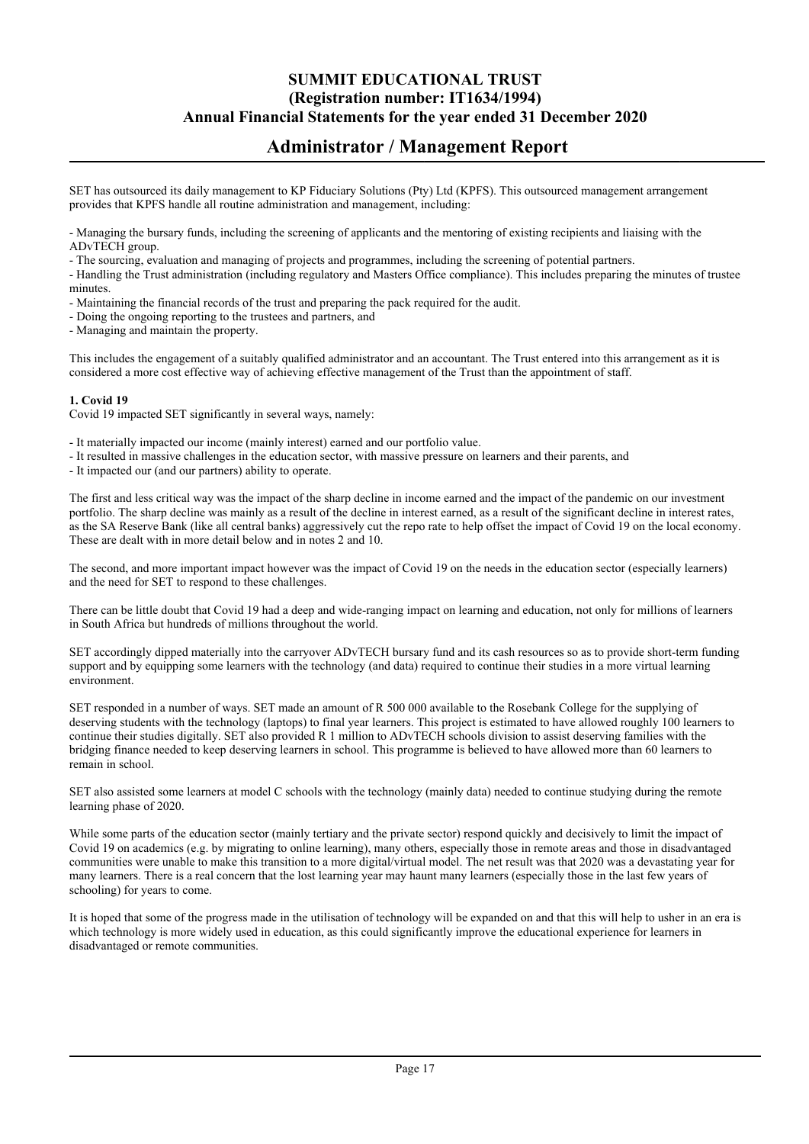# **Administrator / Management Report**

SET has outsourced its daily management to KP Fiduciary Solutions (Pty) Ltd (KPFS). This outsourced management arrangement provides that KPFS handle all routine administration and management, including:

- Managing the bursary funds, including the screening of applicants and the mentoring of existing recipients and liaising with the ADvTECH group.

- The sourcing, evaluation and managing of projects and programmes, including the screening of potential partners.

- Handling the Trust administration (including regulatory and Masters Office compliance). This includes preparing the minutes of trustee minutes.

- Maintaining the financial records of the trust and preparing the pack required for the audit.

- Doing the ongoing reporting to the trustees and partners, and

- Managing and maintain the property.

This includes the engagement of a suitably qualified administrator and an accountant. The Trust entered into this arrangement as it is considered a more cost effective way of achieving effective management of the Trust than the appointment of staff.

### **1. Covid 19**

Covid 19 impacted SET significantly in several ways, namely:

- It materially impacted our income (mainly interest) earned and our portfolio value.

- It resulted in massive challenges in the education sector, with massive pressure on learners and their parents, and

- It impacted our (and our partners) ability to operate.

The first and less critical way was the impact of the sharp decline in income earned and the impact of the pandemic on our investment portfolio. The sharp decline was mainly as a result of the decline in interest earned, as a result of the significant decline in interest rates, as the SA Reserve Bank (like all central banks) aggressively cut the repo rate to help offset the impact of Covid 19 on the local economy. These are dealt with in more detail below and in notes 2 and 10.

The second, and more important impact however was the impact of Covid 19 on the needs in the education sector (especially learners) and the need for SET to respond to these challenges.

There can be little doubt that Covid 19 had a deep and wide-ranging impact on learning and education, not only for millions of learners in South Africa but hundreds of millions throughout the world.

SET accordingly dipped materially into the carryover ADvTECH bursary fund and its cash resources so as to provide short-term funding support and by equipping some learners with the technology (and data) required to continue their studies in a more virtual learning environment.

SET responded in a number of ways. SET made an amount of R 500 000 available to the Rosebank College for the supplying of deserving students with the technology (laptops) to final year learners. This project is estimated to have allowed roughly 100 learners to continue their studies digitally. SET also provided R 1 million to ADvTECH schools division to assist deserving families with the bridging finance needed to keep deserving learners in school. This programme is believed to have allowed more than 60 learners to remain in school.

SET also assisted some learners at model C schools with the technology (mainly data) needed to continue studying during the remote learning phase of 2020.

While some parts of the education sector (mainly tertiary and the private sector) respond quickly and decisively to limit the impact of Covid 19 on academics (e.g. by migrating to online learning), many others, especially those in remote areas and those in disadvantaged communities were unable to make this transition to a more digital/virtual model. The net result was that 2020 was a devastating year for many learners. There is a real concern that the lost learning year may haunt many learners (especially those in the last few years of schooling) for years to come.

It is hoped that some of the progress made in the utilisation of technology will be expanded on and that this will help to usher in an era is which technology is more widely used in education, as this could significantly improve the educational experience for learners in disadvantaged or remote communities.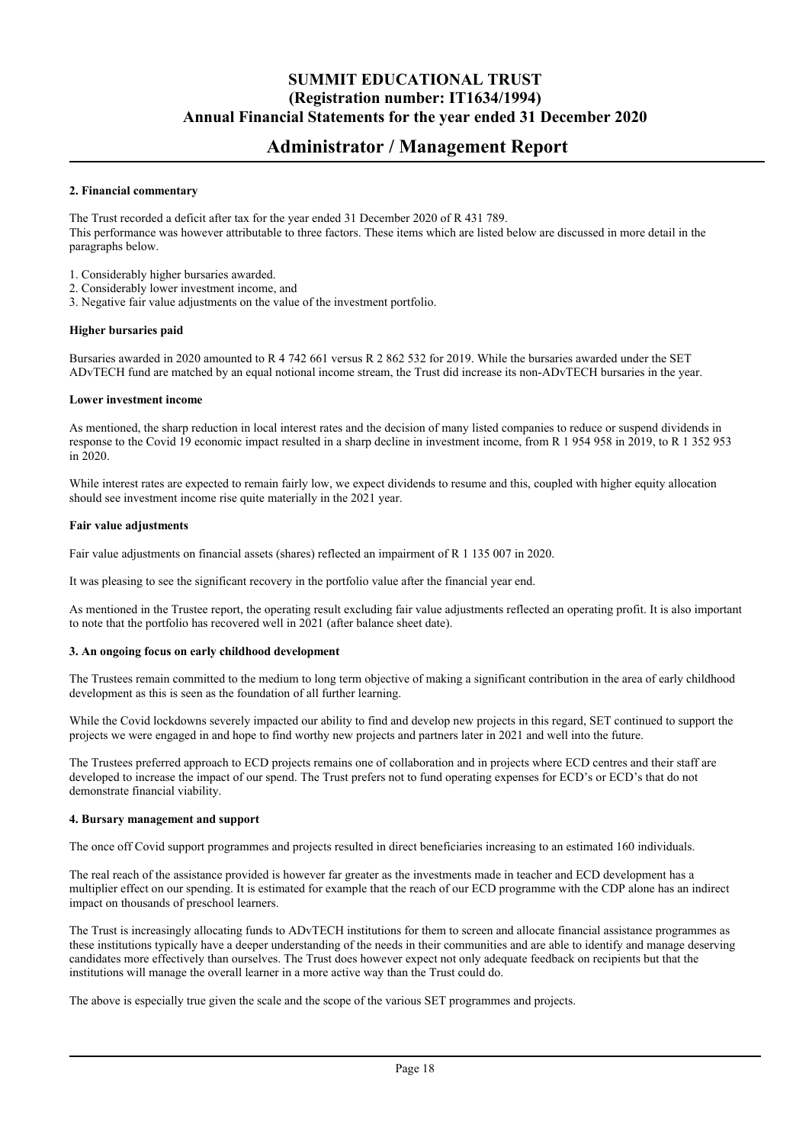# **Administrator / Management Report**

### **2. Financial commentary**

The Trust recorded a deficit after tax for the year ended 31 December 2020 of R 431 789. This performance was however attributable to three factors. These items which are listed below are discussed in more detail in the paragraphs below.

- 1. Considerably higher bursaries awarded.
- 2. Considerably lower investment income, and
- 3. Negative fair value adjustments on the value of the investment portfolio.

#### **Higher bursaries paid**

Bursaries awarded in 2020 amounted to R 4 742 661 versus R 2 862 532 for 2019. While the bursaries awarded under the SET ADvTECH fund are matched by an equal notional income stream, the Trust did increase its non-ADvTECH bursaries in the year.

#### **Lower investment income**

As mentioned, the sharp reduction in local interest rates and the decision of many listed companies to reduce or suspend dividends in response to the Covid 19 economic impact resulted in a sharp decline in investment income, from R 1 954 958 in 2019, to R 1 352 953 in 2020.

While interest rates are expected to remain fairly low, we expect dividends to resume and this, coupled with higher equity allocation should see investment income rise quite materially in the 2021 year.

#### **Fair value adjustments**

Fair value adjustments on financial assets (shares) reflected an impairment of R 1 135 007 in 2020.

It was pleasing to see the significant recovery in the portfolio value after the financial year end.

As mentioned in the Trustee report, the operating result excluding fair value adjustments reflected an operating profit. It is also important to note that the portfolio has recovered well in 2021 (after balance sheet date).

### **3. An ongoing focus on early childhood development**

The Trustees remain committed to the medium to long term objective of making a significant contribution in the area of early childhood development as this is seen as the foundation of all further learning.

While the Covid lockdowns severely impacted our ability to find and develop new projects in this regard, SET continued to support the projects we were engaged in and hope to find worthy new projects and partners later in 2021 and well into the future.

The Trustees preferred approach to ECD projects remains one of collaboration and in projects where ECD centres and their staff are developed to increase the impact of our spend. The Trust prefers not to fund operating expenses for ECD's or ECD's that do not demonstrate financial viability.

#### **4. Bursary management and support**

The once off Covid support programmes and projects resulted in direct beneficiaries increasing to an estimated 160 individuals.

The real reach of the assistance provided is however far greater as the investments made in teacher and ECD development has a multiplier effect on our spending. It is estimated for example that the reach of our ECD programme with the CDP alone has an indirect impact on thousands of preschool learners.

The Trust is increasingly allocating funds to ADvTECH institutions for them to screen and allocate financial assistance programmes as these institutions typically have a deeper understanding of the needs in their communities and are able to identify and manage deserving candidates more effectively than ourselves. The Trust does however expect not only adequate feedback on recipients but that the institutions will manage the overall learner in a more active way than the Trust could do.

The above is especially true given the scale and the scope of the various SET programmes and projects.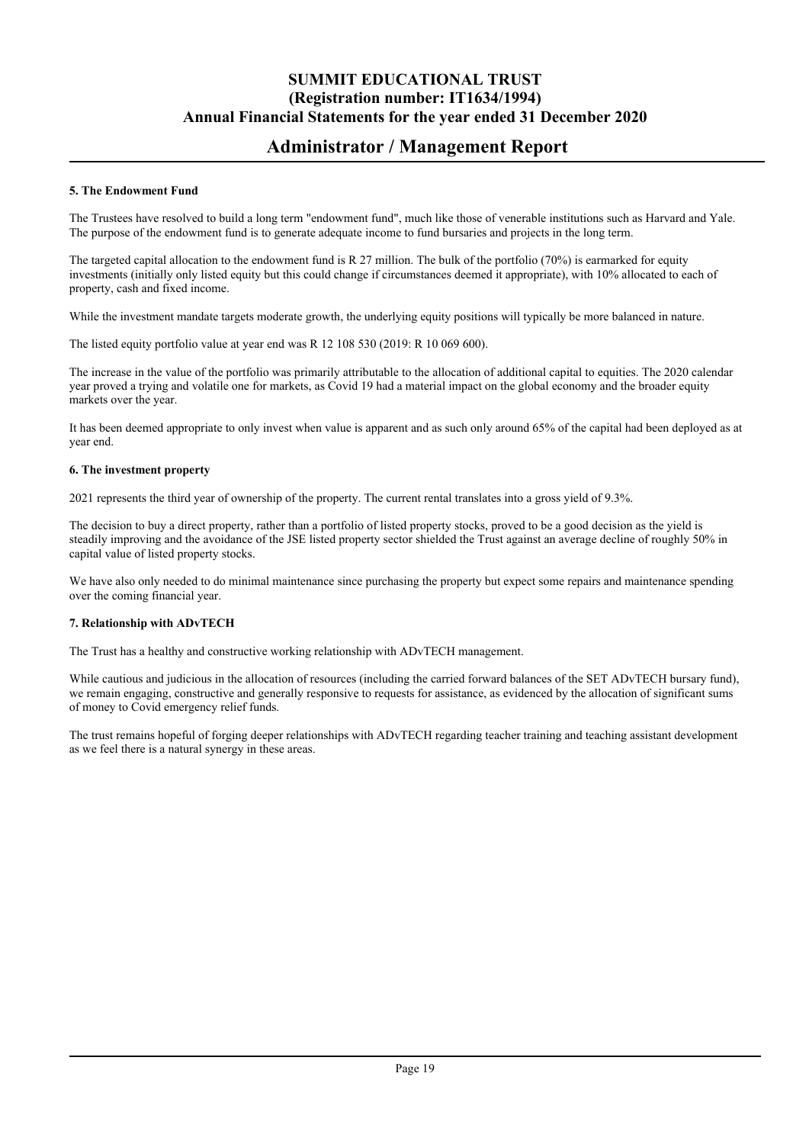# **Administrator / Management Report**

### **5. The Endowment Fund**

The Trustees have resolved to build a long term "endowment fund", much like those of venerable institutions such as Harvard and Yale. The purpose of the endowment fund is to generate adequate income to fund bursaries and projects in the long term.

The targeted capital allocation to the endowment fund is R 27 million. The bulk of the portfolio (70%) is earmarked for equity investments (initially only listed equity but this could change if circumstances deemed it appropriate), with 10% allocated to each of property, cash and fixed income.

While the investment mandate targets moderate growth, the underlying equity positions will typically be more balanced in nature.

The listed equity portfolio value at year end was R 12 108 530 (2019: R 10 069 600).

The increase in the value of the portfolio was primarily attributable to the allocation of additional capital to equities. The 2020 calendar year proved a trying and volatile one for markets, as Covid 19 had a material impact on the global economy and the broader equity markets over the year.

It has been deemed appropriate to only invest when value is apparent and as such only around 65% of the capital had been deployed as at year end.

#### **6. The investment property**

2021 represents the third year of ownership of the property. The current rental translates into a gross yield of 9.3%.

The decision to buy a direct property, rather than a portfolio of listed property stocks, proved to be a good decision as the yield is steadily improving and the avoidance of the JSE listed property sector shielded the Trust against an average decline of roughly 50% in capital value of listed property stocks.

We have also only needed to do minimal maintenance since purchasing the property but expect some repairs and maintenance spending over the coming financial year.

### **7. Relationship with ADvTECH**

The Trust has a healthy and constructive working relationship with ADvTECH management.

While cautious and judicious in the allocation of resources (including the carried forward balances of the SET ADvTECH bursary fund), we remain engaging, constructive and generally responsive to requests for assistance, as evidenced by the allocation of significant sums of money to Covid emergency relief funds.

The trust remains hopeful of forging deeper relationships with ADvTECH regarding teacher training and teaching assistant development as we feel there is a natural synergy in these areas.